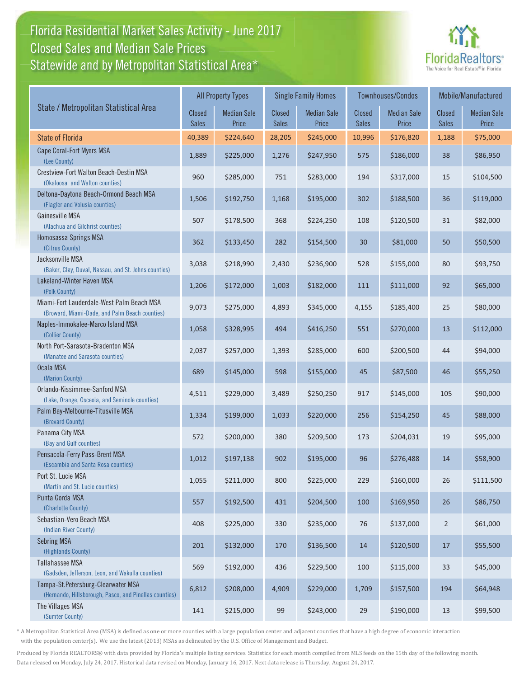# Florida Residential Market Sales Activity - June 2017 Florida Residential Market Sales Activity Statewide and by Metropolitan Statistical Area $^{\star}$ Closed Sales and Median Sale Prices



|                                                                                              |                               | <b>All Property Types</b>   |                        | <b>Single Family Homes</b>  |                        | Townhouses/Condos           |                        | Mobile/Manufactured         |
|----------------------------------------------------------------------------------------------|-------------------------------|-----------------------------|------------------------|-----------------------------|------------------------|-----------------------------|------------------------|-----------------------------|
| State / Metropolitan Statistical Area                                                        | <b>Closed</b><br><b>Sales</b> | <b>Median Sale</b><br>Price | Closed<br><b>Sales</b> | <b>Median Sale</b><br>Price | Closed<br><b>Sales</b> | <b>Median Sale</b><br>Price | Closed<br><b>Sales</b> | <b>Median Sale</b><br>Price |
| <b>State of Florida</b>                                                                      | 40,389                        | \$224,640                   | 28,205                 | \$245,000                   | 10,996                 | \$176,820                   | 1,188                  | \$75,000                    |
| Cape Coral-Fort Myers MSA<br>(Lee County)                                                    | 1,889                         | \$225,000                   | 1,276                  | \$247,950                   | 575                    | \$186,000                   | 38                     | \$86,950                    |
| Crestview-Fort Walton Beach-Destin MSA<br>(Okaloosa and Walton counties)                     | 960                           | \$285,000                   | 751                    | \$283,000                   | 194                    | \$317,000                   | 15                     | \$104,500                   |
| Deltona-Daytona Beach-Ormond Beach MSA<br>(Flagler and Volusia counties)                     | 1,506                         | \$192,750                   | 1,168                  | \$195,000                   | 302                    | \$188,500                   | 36                     | \$119,000                   |
| Gainesville MSA<br>(Alachua and Gilchrist counties)                                          | 507                           | \$178,500                   | 368                    | \$224,250                   | 108                    | \$120,500                   | 31                     | \$82,000                    |
| Homosassa Springs MSA<br>(Citrus County)                                                     | 362                           | \$133,450                   | 282                    | \$154,500                   | 30                     | \$81,000                    | 50                     | \$50,500                    |
| Jacksonville MSA<br>(Baker, Clay, Duval, Nassau, and St. Johns counties)                     | 3,038                         | \$218,990                   | 2,430                  | \$236,900                   | 528                    | \$155,000                   | 80                     | \$93,750                    |
| Lakeland-Winter Haven MSA<br>(Polk County)                                                   | 1,206                         | \$172,000                   | 1,003                  | \$182,000                   | 111                    | \$111,000                   | 92                     | \$65,000                    |
| Miami-Fort Lauderdale-West Palm Beach MSA<br>(Broward, Miami-Dade, and Palm Beach counties)  | 9,073                         | \$275,000                   | 4,893                  | \$345,000                   | 4,155                  | \$185,400                   | 25                     | \$80,000                    |
| Naples-Immokalee-Marco Island MSA<br>(Collier County)                                        | 1,058                         | \$328,995                   | 494                    | \$416,250                   | 551                    | \$270,000                   | 13                     | \$112,000                   |
| North Port-Sarasota-Bradenton MSA<br>(Manatee and Sarasota counties)                         | 2,037                         | \$257,000                   | 1,393                  | \$285,000                   | 600                    | \$200,500                   | 44                     | \$94,000                    |
| Ocala MSA<br>(Marion County)                                                                 | 689                           | \$145,000                   | 598                    | \$155,000                   | 45                     | \$87,500                    | 46                     | \$55,250                    |
| Orlando-Kissimmee-Sanford MSA<br>(Lake, Orange, Osceola, and Seminole counties)              | 4,511                         | \$229,000                   | 3,489                  | \$250,250                   | 917                    | \$145,000                   | 105                    | \$90,000                    |
| Palm Bay-Melbourne-Titusville MSA<br>(Brevard County)                                        | 1,334                         | \$199,000                   | 1,033                  | \$220,000                   | 256                    | \$154,250                   | 45                     | \$88,000                    |
| Panama City MSA<br>(Bay and Gulf counties)                                                   | 572                           | \$200,000                   | 380                    | \$209,500                   | 173                    | \$204,031                   | 19                     | \$95,000                    |
| Pensacola-Ferry Pass-Brent MSA<br>(Escambia and Santa Rosa counties)                         | 1,012                         | \$197,138                   | 902                    | \$195,000                   | 96                     | \$276,488                   | 14                     | \$58,900                    |
| Port St. Lucie MSA<br>(Martin and St. Lucie counties)                                        | 1,055                         | \$211,000                   | 800                    | \$225,000                   | 229                    | \$160,000                   | 26                     | \$111,500                   |
| Punta Gorda MSA<br>(Charlotte County)                                                        | 557                           | \$192,500                   | 431                    | \$204,500                   | 100                    | \$169,950                   | 26                     | \$86,750                    |
| Sebastian-Vero Beach MSA<br>(Indian River County)                                            | 408                           | \$225,000                   | 330                    | \$235,000                   | 76                     | \$137,000                   | $\overline{2}$         | \$61,000                    |
| <b>Sebring MSA</b><br>(Highlands County)                                                     | 201                           | \$132,000                   | 170                    | \$136,500                   | 14                     | \$120,500                   | 17                     | \$55,500                    |
| Tallahassee MSA<br>(Gadsden, Jefferson, Leon, and Wakulla counties)                          | 569                           | \$192,000                   | 436                    | \$229,500                   | 100                    | \$115,000                   | 33                     | \$45,000                    |
| Tampa-St.Petersburg-Clearwater MSA<br>(Hernando, Hillsborough, Pasco, and Pinellas counties) | 6,812                         | \$208,000                   | 4,909                  | \$229,000                   | 1,709                  | \$157,500                   | 194                    | \$64,948                    |
| The Villages MSA<br>(Sumter County)                                                          | 141                           | \$215,000                   | 99                     | \$243,000                   | 29                     | \$190,000                   | 13                     | \$99,500                    |

\* A Metropolitan Statistical Area (MSA) is defined as one or more counties with a large population center and adjacent counties that have a high degree of economic interaction with the population center(s). We use the latest (2013) MSAs as delineated by the U.S. Office of Management and Budget.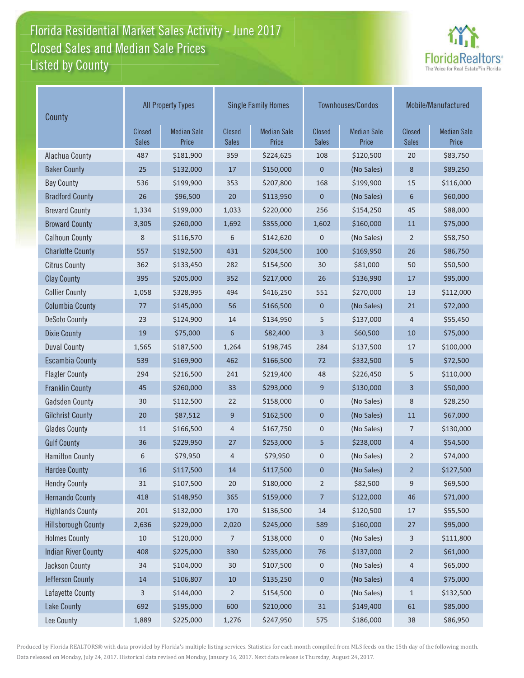# Florida Residential Market Sales Activity - June 2017 Florida Residential Market Sales Activity Listed by County Closed Sales and Median Sale Prices



| County                     | <b>All Property Types</b>     |                             |                        | <b>Single Family Homes</b>  |                        | Townhouses/Condos           | Mobile/Manufactured    |                             |
|----------------------------|-------------------------------|-----------------------------|------------------------|-----------------------------|------------------------|-----------------------------|------------------------|-----------------------------|
|                            | <b>Closed</b><br><b>Sales</b> | <b>Median Sale</b><br>Price | Closed<br><b>Sales</b> | <b>Median Sale</b><br>Price | Closed<br><b>Sales</b> | <b>Median Sale</b><br>Price | Closed<br><b>Sales</b> | <b>Median Sale</b><br>Price |
| Alachua County             | 487                           | \$181,900                   | 359                    | \$224,625                   | 108                    | \$120,500                   | 20                     | \$83,750                    |
| <b>Baker County</b>        | 25                            | \$132,000                   | 17                     | \$150,000                   | $\mathbf 0$            | (No Sales)                  | 8                      | \$89,250                    |
| <b>Bay County</b>          | 536                           | \$199,900                   | 353                    | \$207,800                   | 168                    | \$199,900                   | 15                     | \$116,000                   |
| <b>Bradford County</b>     | 26                            | \$96,500                    | 20                     | \$113,950                   | $\mathbf 0$            | (No Sales)                  | 6                      | \$60,000                    |
| <b>Brevard County</b>      | 1,334                         | \$199,000                   | 1,033                  | \$220,000                   | 256                    | \$154,250                   | 45                     | \$88,000                    |
| <b>Broward County</b>      | 3,305                         | \$260,000                   | 1,692                  | \$355,000                   | 1,602                  | \$160,000                   | 11                     | \$75,000                    |
| <b>Calhoun County</b>      | 8                             | \$116,570                   | 6                      | \$142,620                   | $\boldsymbol{0}$       | (No Sales)                  | $\overline{2}$         | \$58,750                    |
| <b>Charlotte County</b>    | 557                           | \$192,500                   | 431                    | \$204,500                   | 100                    | \$169,950                   | 26                     | \$86,750                    |
| <b>Citrus County</b>       | 362                           | \$133,450                   | 282                    | \$154,500                   | 30                     | \$81,000                    | 50                     | \$50,500                    |
| <b>Clay County</b>         | 395                           | \$205,000                   | 352                    | \$217,000                   | 26                     | \$136,990                   | 17                     | \$95,000                    |
| <b>Collier County</b>      | 1,058                         | \$328,995                   | 494                    | \$416,250                   | 551                    | \$270,000                   | 13                     | \$112,000                   |
| <b>Columbia County</b>     | 77                            | \$145,000                   | 56                     | \$166,500                   | $\mathbf 0$            | (No Sales)                  | 21                     | \$72,000                    |
| <b>DeSoto County</b>       | 23                            | \$124,900                   | 14                     | \$134,950                   | 5                      | \$137,000                   | 4                      | \$55,450                    |
| <b>Dixie County</b>        | 19                            | \$75,000                    | 6                      | \$82,400                    | 3                      | \$60,500                    | 10                     | \$75,000                    |
| <b>Duval County</b>        | 1,565                         | \$187,500                   | 1,264                  | \$198,745                   | 284                    | \$137,500                   | 17                     | \$100,000                   |
| <b>Escambia County</b>     | 539                           | \$169,900                   | 462                    | \$166,500                   | 72                     | \$332,500                   | 5                      | \$72,500                    |
| <b>Flagler County</b>      | 294                           | \$216,500                   | 241                    | \$219,400                   | 48                     | \$226,450                   | 5                      | \$110,000                   |
| <b>Franklin County</b>     | 45                            | \$260,000                   | 33                     | \$293,000                   | 9                      | \$130,000                   | 3                      | \$50,000                    |
| <b>Gadsden County</b>      | 30                            | \$112,500                   | 22                     | \$158,000                   | $\pmb{0}$              | (No Sales)                  | 8                      | \$28,250                    |
| <b>Gilchrist County</b>    | 20                            | \$87,512                    | 9                      | \$162,500                   | $\mathbf 0$            | (No Sales)                  | 11                     | \$67,000                    |
| <b>Glades County</b>       | 11                            | \$166,500                   | 4                      | \$167,750                   | $\pmb{0}$              | (No Sales)                  | 7                      | \$130,000                   |
| <b>Gulf County</b>         | 36                            | \$229,950                   | 27                     | \$253,000                   | 5                      | \$238,000                   | $\overline{4}$         | \$54,500                    |
| <b>Hamilton County</b>     | 6                             | \$79,950                    | 4                      | \$79,950                    | 0                      | (No Sales)                  | $\overline{2}$         | \$74,000                    |
| <b>Hardee County</b>       | 16                            | \$117,500                   | 14                     | \$117,500                   | $\pmb{0}$              | (No Sales)                  | $\overline{2}$         | \$127,500                   |
| <b>Hendry County</b>       | $31\,$                        | \$107,500                   | 20                     | \$180,000                   | $\overline{2}$         | \$82,500                    | 9                      | \$69,500                    |
| <b>Hernando County</b>     | 418                           | \$148,950                   | 365                    | \$159,000                   | $\overline{7}$         | \$122,000                   | 46                     | \$71,000                    |
| <b>Highlands County</b>    | 201                           | \$132,000                   | 170                    | \$136,500                   | 14                     | \$120,500                   | $17\,$                 | \$55,500                    |
| <b>Hillsborough County</b> | 2,636                         | \$229,000                   | 2,020                  | \$245,000                   | 589                    | \$160,000                   | 27                     | \$95,000                    |
| <b>Holmes County</b>       | 10                            | \$120,000                   | 7                      | \$138,000                   | 0                      | (No Sales)                  | 3                      | \$111,800                   |
| <b>Indian River County</b> | 408                           | \$225,000                   | 330                    | \$235,000                   | $76$                   | \$137,000                   | $\overline{2}$         | \$61,000                    |
| Jackson County             | 34                            | \$104,000                   | $30\,$                 | \$107,500                   | $\pmb{0}$              | (No Sales)                  | 4                      | \$65,000                    |
| Jefferson County           | $14\,$                        | \$106,807                   | $10\,$                 | \$135,250                   | $\boldsymbol{0}$       | (No Sales)                  | $\overline{4}$         | \$75,000                    |
| Lafayette County           | 3                             | \$144,000                   | $\overline{2}$         | \$154,500                   | $\pmb{0}$              | (No Sales)                  | $\mathbf 1$            | \$132,500                   |
| <b>Lake County</b>         | 692                           | \$195,000                   | 600                    | \$210,000                   | $31\,$                 | \$149,400                   | 61                     | \$85,000                    |
| Lee County                 | 1,889                         | \$225,000                   | 1,276                  | \$247,950                   | 575                    | \$186,000                   | 38                     | \$86,950                    |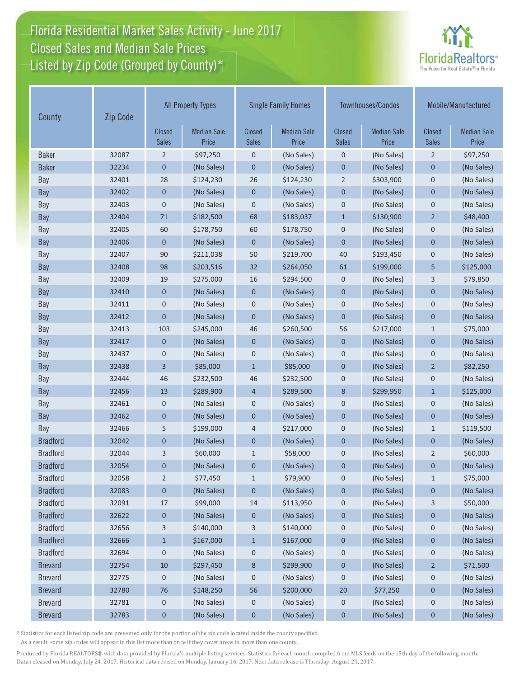# Florida Residential Market Sales Activity - June 2017 Florida Residential Market Sales Activity Listed by Zip Code (Grouped by County)\* Closed Sales and Median Sale Prices



| Zip Code<br>County |       |                               | <b>All Property Types</b>   | <b>Single Family Homes</b>    |                             | Townhouses/Condos             |                             | Mobile/Manufactured    |                             |
|--------------------|-------|-------------------------------|-----------------------------|-------------------------------|-----------------------------|-------------------------------|-----------------------------|------------------------|-----------------------------|
|                    |       | <b>Closed</b><br><b>Sales</b> | <b>Median Sale</b><br>Price | <b>Closed</b><br><b>Sales</b> | <b>Median Sale</b><br>Price | <b>Closed</b><br><b>Sales</b> | <b>Median Sale</b><br>Price | Closed<br><b>Sales</b> | <b>Median Sale</b><br>Price |
| <b>Baker</b>       | 32087 | $\overline{2}$                | \$97,250                    | $\mathbf 0$                   | (No Sales)                  | $\mathbf 0$                   | (No Sales)                  | $\overline{2}$         | \$97,250                    |
| <b>Baker</b>       | 32234 | 0                             | (No Sales)                  | 0                             | (No Sales)                  | $\mathbf 0$                   | (No Sales)                  | 0                      | (No Sales)                  |
| Bay                | 32401 | 28                            | \$124,230                   | 26                            | \$124,230                   | $\overline{2}$                | \$303,900                   | $\mathbf 0$            | (No Sales)                  |
| Bay                | 32402 | 0                             | (No Sales)                  | $\mathbf 0$                   | (No Sales)                  | $\mathbf 0$                   | (No Sales)                  | $\mathbf 0$            | (No Sales)                  |
| Bay                | 32403 | 0                             | (No Sales)                  | $\mathsf 0$                   | (No Sales)                  | $\mathbf 0$                   | (No Sales)                  | $\mathsf 0$            | (No Sales)                  |
| Bay                | 32404 | 71                            | \$182,500                   | 68                            | \$183,037                   | $\mathbf{1}$                  | \$130,900                   | $\overline{2}$         | \$48,400                    |
| Bay                | 32405 | 60                            | \$178,750                   | 60                            | \$178,750                   | $\mathbf 0$                   | (No Sales)                  | $\boldsymbol{0}$       | (No Sales)                  |
| Bay                | 32406 | $\overline{0}$                | (No Sales)                  | $\mathbf{0}$                  | (No Sales)                  | $\mathbf{0}$                  | (No Sales)                  | $\mathbf 0$            | (No Sales)                  |
| Bay                | 32407 | 90                            | \$211,038                   | 50                            | \$219,700                   | 40                            | \$193,450                   | $\mathbf 0$            | (No Sales)                  |
| Bay                | 32408 | 98                            | \$203,516                   | 32                            | \$264,050                   | 61                            | \$199,000                   | 5                      | \$125,000                   |
| Bay                | 32409 | 19                            | \$275,000                   | 16                            | \$294,500                   | $\mathbf 0$                   | (No Sales)                  | 3                      | \$79,850                    |
| Bay                | 32410 | $\mathbf 0$                   | (No Sales)                  | $\mathbf 0$                   | (No Sales)                  | $\mathbf 0$                   | (No Sales)                  | $\mathbf 0$            | (No Sales)                  |
| Bay                | 32411 | 0                             | (No Sales)                  | 0                             | (No Sales)                  | $\mathbf 0$                   | (No Sales)                  | $\mathbf 0$            | (No Sales)                  |
| Bay                | 32412 | $\mathbf 0$                   | (No Sales)                  | $\mathbf 0$                   | (No Sales)                  | $\mathbf 0$                   | (No Sales)                  | $\mathbf 0$            | (No Sales)                  |
| Bay                | 32413 | 103                           | \$245,000                   | 46                            | \$260,500                   | 56                            | \$217,000                   | $\mathbf{1}$           | \$75,000                    |
| Bay                | 32417 | $\mathbf 0$                   | (No Sales)                  | 0                             | (No Sales)                  | $\mathbf 0$                   | (No Sales)                  | $\mathbf 0$            | (No Sales)                  |
| Bay                | 32437 | 0                             | (No Sales)                  | 0                             | (No Sales)                  | $\mathbf 0$                   | (No Sales)                  | $\mathsf 0$            | (No Sales)                  |
| Bay                | 32438 | 3                             | \$85,000                    | $\mathbf{1}$                  | \$85,000                    | $\mathbf 0$                   | (No Sales)                  | $\overline{2}$         | \$82,250                    |
| Bay                | 32444 | 46                            | \$232,500                   | 46                            | \$232,500                   | $\mathbf 0$                   | (No Sales)                  | $\mathbf 0$            | (No Sales)                  |
| <b>Bay</b>         | 32456 | 13                            | \$289,900                   | $\overline{4}$                | \$289,500                   | 8                             | \$299,950                   | $\mathbf{1}$           | \$125,000                   |
| Bay                | 32461 | 0                             | (No Sales)                  | 0                             | (No Sales)                  | $\mathbf 0$                   | (No Sales)                  | $\mathbf 0$            | (No Sales)                  |
| Bay                | 32462 | 0                             | (No Sales)                  | $\mathbf 0$                   | (No Sales)                  | $\mathbf 0$                   | (No Sales)                  | $\overline{0}$         | (No Sales)                  |
| Bay                | 32466 | 5                             | \$199,000                   | 4                             | \$217,000                   | $\mathbf 0$                   | (No Sales)                  | $\mathbf{1}$           | \$119,500                   |
| <b>Bradford</b>    | 32042 | 0                             | (No Sales)                  | 0                             | (No Sales)                  | $\mathbf 0$                   | (No Sales)                  | $\mathbf 0$            | (No Sales)                  |
| <b>Bradford</b>    | 32044 | 3                             | \$60,000                    | $\mathbf{1}$                  | \$58,000                    | $\mathbf 0$                   | (No Sales)                  | $\overline{2}$         | \$60,000                    |
| <b>Bradford</b>    | 32054 | $\mathbf 0$                   | (No Sales)                  | $\pmb{0}$                     | (No Sales)                  | $\mathbf 0$                   | (No Sales)                  | $\mathbf 0$            | (No Sales)                  |
| <b>Bradford</b>    | 32058 | 2                             | \$77,450                    | $\mathbf{1}$                  | \$79,900                    | $\mathbf 0$                   | (No Sales)                  | $\mathbf{1}$           | \$75,000                    |
| <b>Bradford</b>    | 32083 | 0                             | (No Sales)                  | 0                             | (No Sales)                  | $\boldsymbol{0}$              | (No Sales)                  | 0                      | (No Sales)                  |
| <b>Bradford</b>    | 32091 | 17                            | \$99,000                    | 14                            | \$113,950                   | $\mathbf 0$                   | (No Sales)                  | 3                      | \$50,000                    |
| <b>Bradford</b>    | 32622 | 0                             | (No Sales)                  | $\boldsymbol{0}$              | (No Sales)                  | $\boldsymbol{0}$              | (No Sales)                  | $\mathbf 0$            | (No Sales)                  |
| <b>Bradford</b>    | 32656 | 3                             | \$140,000                   | 3                             | \$140,000                   | $\mathbf 0$                   | (No Sales)                  | 0                      | (No Sales)                  |
| <b>Bradford</b>    | 32666 | $\mathbf{1}$                  | \$167,000                   | $\mathbf{1}$                  | \$167,000                   | $\bf{0}$                      | (No Sales)                  | $\boldsymbol{0}$       | (No Sales)                  |
| <b>Bradford</b>    | 32694 | 0                             | (No Sales)                  | $\boldsymbol{0}$              | (No Sales)                  | $\boldsymbol{0}$              | (No Sales)                  | 0                      | (No Sales)                  |
| <b>Brevard</b>     | 32754 | 10                            | \$297,450                   | 8                             | \$299,900                   | $\boldsymbol{0}$              | (No Sales)                  | $\overline{2}$         | \$71,500                    |
| <b>Brevard</b>     | 32775 | 0                             | (No Sales)                  | $\boldsymbol{0}$              | (No Sales)                  | 0                             | (No Sales)                  | $\mathbf 0$            | (No Sales)                  |
| <b>Brevard</b>     | 32780 | 76                            | \$148,250                   | 56                            | \$200,000                   | 20                            | \$77,250                    | $\mathbf 0$            | (No Sales)                  |
| <b>Brevard</b>     | 32781 | 0                             | (No Sales)                  | 0                             | (No Sales)                  | 0                             | (No Sales)                  | $\mathbf 0$            | (No Sales)                  |
| <b>Brevard</b>     | 32783 | 0                             | (No Sales)                  | $\pmb{0}$                     | (No Sales)                  | $\pmb{0}$                     | (No Sales)                  | $\bf{0}$               | (No Sales)                  |

\* Statistics for each listed zip code are presented only for the portion of the zip code located inside the county specified.

As a result, some zip codes will appear in this list more than once if they cover areas in more than one county.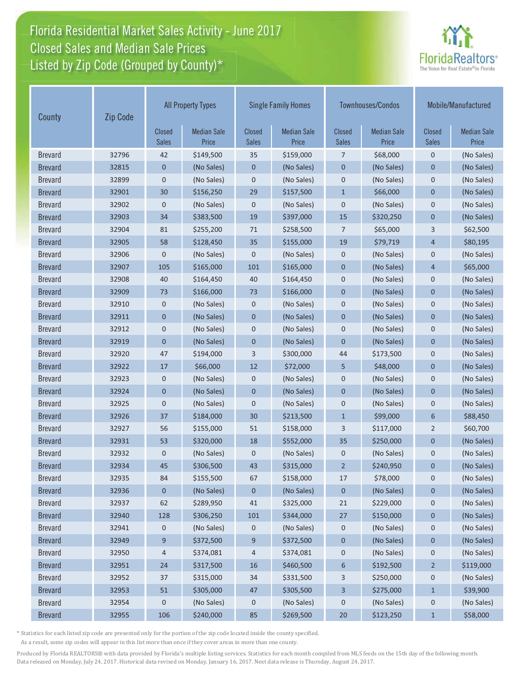# Florida Residential Market Sales Activity - June 2017 Florida Residential Market Sales Activity Listed by Zip Code (Grouped by County)\* Closed Sales and Median Sale Prices



| Zip Code<br>County |       |                               | <b>All Property Types</b>   | Townhouses/Condos<br><b>Single Family Homes</b> |                             |                               | Mobile/Manufactured         |                               |                             |
|--------------------|-------|-------------------------------|-----------------------------|-------------------------------------------------|-----------------------------|-------------------------------|-----------------------------|-------------------------------|-----------------------------|
|                    |       | <b>Closed</b><br><b>Sales</b> | <b>Median Sale</b><br>Price | <b>Closed</b><br><b>Sales</b>                   | <b>Median Sale</b><br>Price | <b>Closed</b><br><b>Sales</b> | <b>Median Sale</b><br>Price | <b>Closed</b><br><b>Sales</b> | <b>Median Sale</b><br>Price |
| <b>Brevard</b>     | 32796 | 42                            | \$149,500                   | 35                                              | \$159,000                   | 7                             | \$68,000                    | $\mathbf 0$                   | (No Sales)                  |
| <b>Brevard</b>     | 32815 | $\mathbf 0$                   | (No Sales)                  | 0                                               | (No Sales)                  | $\mathbf 0$                   | (No Sales)                  | $\mathbf 0$                   | (No Sales)                  |
| <b>Brevard</b>     | 32899 | $\mathbf 0$                   | (No Sales)                  | 0                                               | (No Sales)                  | $\mathbf 0$                   | (No Sales)                  | $\mathbf 0$                   | (No Sales)                  |
| <b>Brevard</b>     | 32901 | 30                            | \$156,250                   | 29                                              | \$157,500                   | $\mathbf{1}$                  | \$66,000                    | $\mathbf{0}$                  | (No Sales)                  |
| <b>Brevard</b>     | 32902 | $\pmb{0}$                     | (No Sales)                  | 0                                               | (No Sales)                  | $\mathbf 0$                   | (No Sales)                  | $\mathbf 0$                   | (No Sales)                  |
| <b>Brevard</b>     | 32903 | 34                            | \$383,500                   | 19                                              | \$397,000                   | 15                            | \$320,250                   | $\mathbf{0}$                  | (No Sales)                  |
| <b>Brevard</b>     | 32904 | 81                            | \$255,200                   | 71                                              | \$258,500                   | $\overline{7}$                | \$65,000                    | 3                             | \$62,500                    |
| <b>Brevard</b>     | 32905 | 58                            | \$128,450                   | 35                                              | \$155,000                   | 19                            | \$79,719                    | $\overline{4}$                | \$80,195                    |
| <b>Brevard</b>     | 32906 | 0                             | (No Sales)                  | 0                                               | (No Sales)                  | $\mathbf 0$                   | (No Sales)                  | $\mathbf 0$                   | (No Sales)                  |
| <b>Brevard</b>     | 32907 | 105                           | \$165,000                   | 101                                             | \$165,000                   | $\mathbf 0$                   | (No Sales)                  | 4                             | \$65,000                    |
| <b>Brevard</b>     | 32908 | 40                            | \$164,450                   | 40                                              | \$164,450                   | $\mathbf 0$                   | (No Sales)                  | $\mathbf 0$                   | (No Sales)                  |
| <b>Brevard</b>     | 32909 | 73                            | \$166,000                   | 73                                              | \$166,000                   | $\mathbf 0$                   | (No Sales)                  | $\mathbf 0$                   | (No Sales)                  |
| <b>Brevard</b>     | 32910 | 0                             | (No Sales)                  | 0                                               | (No Sales)                  | $\mathbf 0$                   | (No Sales)                  | $\mathsf 0$                   | (No Sales)                  |
| <b>Brevard</b>     | 32911 | $\mathbf 0$                   | (No Sales)                  | 0                                               | (No Sales)                  | $\mathbf 0$                   | (No Sales)                  | $\mathbf 0$                   | (No Sales)                  |
| <b>Brevard</b>     | 32912 | $\mathbf 0$                   | (No Sales)                  | 0                                               | (No Sales)                  | $\mathbf 0$                   | (No Sales)                  | $\mathbf 0$                   | (No Sales)                  |
| <b>Brevard</b>     | 32919 | 0                             | (No Sales)                  | 0                                               | (No Sales)                  | $\mathbf{0}$                  | (No Sales)                  | $\mathbf 0$                   | (No Sales)                  |
| <b>Brevard</b>     | 32920 | 47                            | \$194,000                   | 3                                               | \$300,000                   | 44                            | \$173,500                   | $\mathbf 0$                   | (No Sales)                  |
| <b>Brevard</b>     | 32922 | 17                            | \$66,000                    | 12                                              | \$72,000                    | 5                             | \$48,000                    | $\mathbf{0}$                  | (No Sales)                  |
| <b>Brevard</b>     | 32923 | 0                             | (No Sales)                  | 0                                               | (No Sales)                  | $\mathbf 0$                   | (No Sales)                  | $\mathbf 0$                   | (No Sales)                  |
| <b>Brevard</b>     | 32924 | $\overline{0}$                | (No Sales)                  | $\overline{0}$                                  | (No Sales)                  | $\overline{0}$                | (No Sales)                  | $\overline{0}$                | (No Sales)                  |
| <b>Brevard</b>     | 32925 | 0                             | (No Sales)                  | 0                                               | (No Sales)                  | $\mathbf 0$                   | (No Sales)                  | $\mathbf 0$                   | (No Sales)                  |
| <b>Brevard</b>     | 32926 | 37                            | \$184,000                   | 30                                              | \$213,500                   | $\mathbf{1}$                  | \$99,000                    | 6                             | \$88,450                    |
| <b>Brevard</b>     | 32927 | 56                            | \$155,000                   | 51                                              | \$158,000                   | 3                             | \$117,000                   | 2                             | \$60,700                    |
| <b>Brevard</b>     | 32931 | 53                            | \$320,000                   | 18                                              | \$552,000                   | 35                            | \$250,000                   | $\mathbf 0$                   | (No Sales)                  |
| <b>Brevard</b>     | 32932 | 0                             | (No Sales)                  | 0                                               | (No Sales)                  | $\mathbf 0$                   | (No Sales)                  | $\mathbf 0$                   | (No Sales)                  |
| <b>Brevard</b>     | 32934 | 45                            | \$306,500                   | 43                                              | \$315,000                   | $\overline{2}$                | \$240,950                   | $\mathbf 0$                   | (No Sales)                  |
| <b>Brevard</b>     | 32935 | 84                            | \$155,500                   | 67                                              | \$158,000                   | 17                            | \$78,000                    | 0                             | (No Sales)                  |
| <b>Brevard</b>     | 32936 | $\boldsymbol{0}$              | (No Sales)                  | 0                                               | (No Sales)                  | 0                             | (No Sales)                  | 0                             | (No Sales)                  |
| <b>Brevard</b>     | 32937 | 62                            | \$289,950                   | 41                                              | \$325,000                   | 21                            | \$229,000                   | $\mathbf 0$                   | (No Sales)                  |
| <b>Brevard</b>     | 32940 | 128                           | \$306,250                   | 101                                             | \$344,000                   | 27                            | \$150,000                   | $\pmb{0}$                     | (No Sales)                  |
| <b>Brevard</b>     | 32941 | 0                             | (No Sales)                  | $\mathbf 0$                                     | (No Sales)                  | 0                             | (No Sales)                  | 0                             | (No Sales)                  |
| <b>Brevard</b>     | 32949 | 9                             | \$372,500                   | 9                                               | \$372,500                   | $\pmb{0}$                     | (No Sales)                  | $\pmb{0}$                     | (No Sales)                  |
| <b>Brevard</b>     | 32950 | 4                             | \$374,081                   | 4                                               | \$374,081                   | $\mathbf 0$                   | (No Sales)                  | 0                             | (No Sales)                  |
| <b>Brevard</b>     | 32951 | 24                            | \$317,500                   | 16                                              | \$460,500                   | $\boldsymbol{6}$              | \$192,500                   | $\overline{2}$                | \$119,000                   |
| <b>Brevard</b>     | 32952 | 37                            | \$315,000                   | 34                                              | \$331,500                   | 3                             | \$250,000                   | $\mathbf 0$                   | (No Sales)                  |
| <b>Brevard</b>     | 32953 | 51                            | \$305,000                   | 47                                              | \$305,500                   | 3                             | \$275,000                   | $\mathbf{1}$                  | \$39,900                    |
| <b>Brevard</b>     | 32954 | 0                             | (No Sales)                  | 0                                               | (No Sales)                  | $\pmb{0}$                     | (No Sales)                  | $\mathbf 0$                   | (No Sales)                  |
| <b>Brevard</b>     | 32955 | 106                           | \$240,000                   | 85                                              | \$269,500                   | $20\,$                        | \$123,250                   | $\mathbf{1}$                  | \$58,000                    |

\* Statistics for each listed zip code are presented only for the portion of the zip code located inside the county specified.

As a result, some zip codes will appear in this list more than once if they cover areas in more than one county.